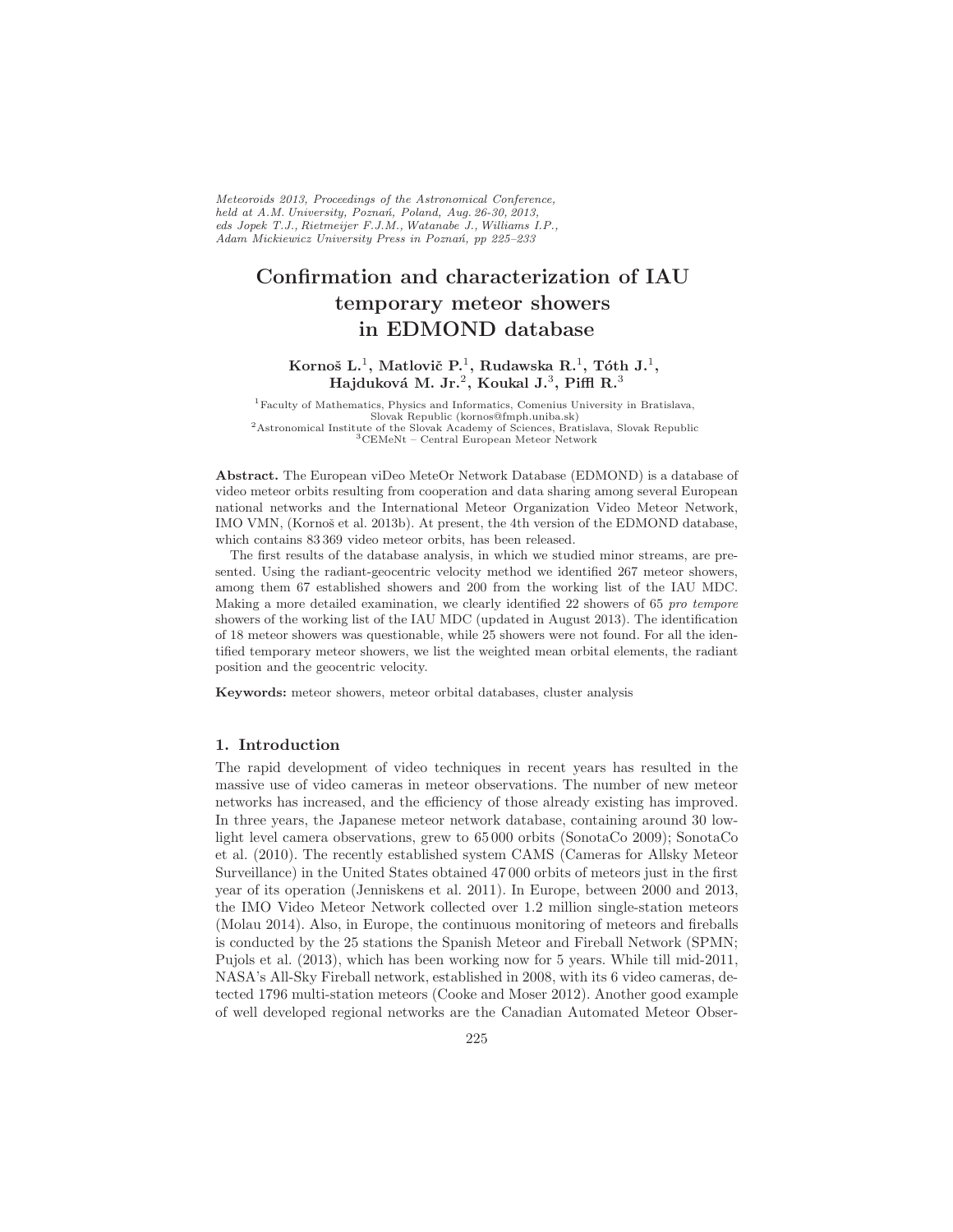Meteoroids 2013, Proceedings of the Astronomical Conference, held at A.M. University, Poznań, Poland, Aug. 26-30, 2013, eds Jopek T.J., Rietmeijer F.J.M., Watanabe J., Williams I.P., Adam Mickiewicz University Press in Poznań, pp 225-233

# Confirmation and characterization of IAU temporary meteor showers in EDMOND database

# Kornoš L.<sup>1</sup>, Matlovič P.<sup>1</sup>, Rudawska R.<sup>1</sup>, Tóth J.<sup>1</sup>, Hajduková M. Jr. $^2$ , Koukal J. $^3$ , Piffl R. $^3$

Faculty of Mathematics, Physics and Informatics, Comenius University in Bratislava, Slovak Republic (kornos@fmph.uniba.sk) Astronomical Institute of the Slovak Academy of Sciences, Bratislava, Slovak Republic CEMeNt – Central European Meteor Network

Abstract. The European viDeo MeteOr Network Database (EDMOND) is a database of video meteor orbits resulting from cooperation and data sharing among several European national networks and the International Meteor Organization Video Meteor Network, IMO VMN, (Kornoš et al. 2013b). At present, the 4th version of the EDMOND database, which contains 83 369 video meteor orbits, has been released.

The first results of the database analysis, in which we studied minor streams, are presented. Using the radiant-geocentric velocity method we identified 267 meteor showers, among them 67 established showers and 200 from the working list of the IAU MDC. Making a more detailed examination, we clearly identified 22 showers of 65 pro tempore showers of the working list of the IAU MDC (updated in August 2013). The identification of 18 meteor showers was questionable, while 25 showers were not found. For all the identified temporary meteor showers, we list the weighted mean orbital elements, the radiant position and the geocentric velocity.

Keywords: meteor showers, meteor orbital databases, cluster analysis

#### 1. Introduction

The rapid development of video techniques in recent years has resulted in the massive use of video cameras in meteor observations. The number of new meteor networks has increased, and the efficiency of those already existing has improved. In three years, the Japanese meteor network database, containing around 30 lowlight level camera observations, grew to 65 000 orbits (SonotaCo 2009); SonotaCo et al. (2010). The recently established system CAMS (Cameras for Allsky Meteor Surveillance) in the United States obtained 47 000 orbits of meteors just in the first year of its operation (Jenniskens et al. 2011). In Europe, between 2000 and 2013, the IMO Video Meteor Network collected over 1.2 million single-station meteors (Molau 2014). Also, in Europe, the continuous monitoring of meteors and fireballs is conducted by the 25 stations the Spanish Meteor and Fireball Network (SPMN; Pujols et al. (2013), which has been working now for 5 years. While till mid-2011, NASA's All-Sky Fireball network, established in 2008, with its 6 video cameras, detected 1796 multi-station meteors (Cooke and Moser 2012). Another good example of well developed regional networks are the Canadian Automated Meteor Obser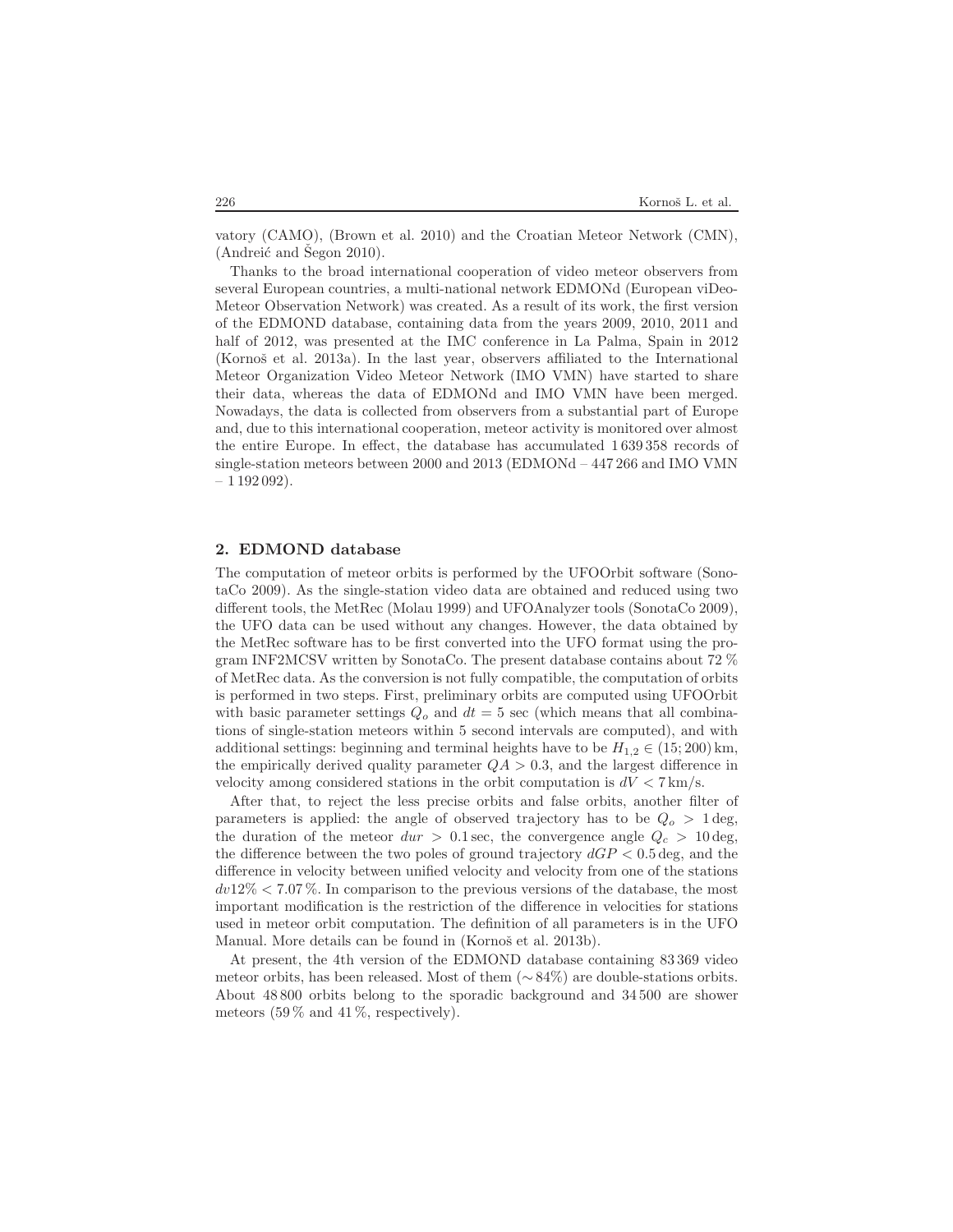vatory (CAMO), (Brown et al. 2010) and the Croatian Meteor Network (CMN),  $(Andreić and Segon 2010).$ 

Thanks to the broad international cooperation of video meteor observers from several European countries, a multi-national network EDMONd (European viDeo-Meteor Observation Network) was created. As a result of its work, the first version of the EDMOND database, containing data from the years 2009, 2010, 2011 and half of 2012, was presented at the IMC conference in La Palma, Spain in 2012 (Kornoš et al. 2013a). In the last year, observers affiliated to the International Meteor Organization Video Meteor Network (IMO VMN) have started to share their data, whereas the data of EDMONd and IMO VMN have been merged. Nowadays, the data is collected from observers from a substantial part of Europe and, due to this international cooperation, meteor activity is monitored over almost the entire Europe. In effect, the database has accumulated 1 639 358 records of single-station meteors between 2000 and 2013 (EDMONd – 447 266 and IMO VMN  $-1192092$ ).

### 2. EDMOND database

The computation of meteor orbits is performed by the UFOOrbit software (SonotaCo 2009). As the single-station video data are obtained and reduced using two different tools, the MetRec (Molau 1999) and UFOAnalyzer tools (SonotaCo 2009), the UFO data can be used without any changes. However, the data obtained by the MetRec software has to be first converted into the UFO format using the program INF2MCSV written by SonotaCo. The present database contains about 72 % of MetRec data. As the conversion is not fully compatible, the computation of orbits is performed in two steps. First, preliminary orbits are computed using UFOOrbit with basic parameter settings  $Q_o$  and  $dt = 5$  sec (which means that all combinations of single-station meteors within 5 second intervals are computed), and with additional settings: beginning and terminal heights have to be  $H_{1,2} \in (15; 200)$  km, the empirically derived quality parameter  $QA > 0.3$ , and the largest difference in velocity among considered stations in the orbit computation is  $dV < 7 \text{ km/s}$ .

After that, to reject the less precise orbits and false orbits, another filter of parameters is applied: the angle of observed trajectory has to be  $Q_0 > 1$  deg, the duration of the meteor  $dur > 0.1$  sec, the convergence angle  $Q_c > 10$  deg, the difference between the two poles of ground trajectory  $dGP < 0.5$  deg, and the difference in velocity between unified velocity and velocity from one of the stations  $dv12\% < 7.07\%$ . In comparison to the previous versions of the database, the most important modification is the restriction of the difference in velocities for stations used in meteor orbit computation. The definition of all parameters is in the UFO Manual. More details can be found in (Kornoš et al. 2013b).

At present, the 4th version of the EDMOND database containing 83 369 video meteor orbits, has been released. Most of them (∼ 84%) are double-stations orbits. About 48 800 orbits belong to the sporadic background and 34 500 are shower meteors  $(59\% \text{ and } 41\%, \text{ respectively}).$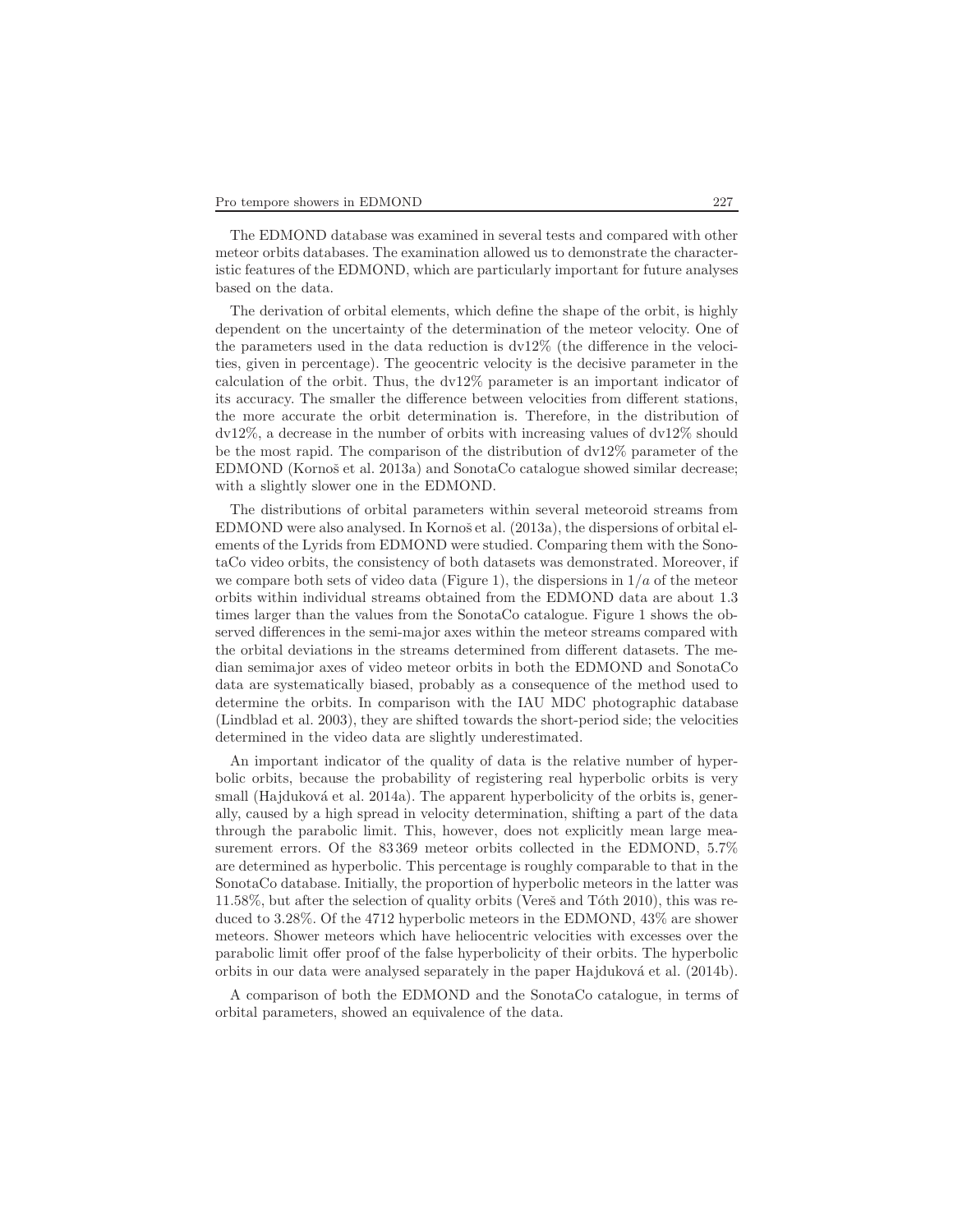The EDMOND database was examined in several tests and compared with other meteor orbits databases. The examination allowed us to demonstrate the characteristic features of the EDMOND, which are particularly important for future analyses based on the data.

The derivation of orbital elements, which define the shape of the orbit, is highly dependent on the uncertainty of the determination of the meteor velocity. One of the parameters used in the data reduction is dv12% (the difference in the velocities, given in percentage). The geocentric velocity is the decisive parameter in the calculation of the orbit. Thus, the dv12% parameter is an important indicator of its accuracy. The smaller the difference between velocities from different stations, the more accurate the orbit determination is. Therefore, in the distribution of dv12%, a decrease in the number of orbits with increasing values of dv12% should be the most rapid. The comparison of the distribution of dv12% parameter of the EDMOND (Kornoš et al. 2013a) and SonotaCo catalogue showed similar decrease; with a slightly slower one in the EDMOND.

The distributions of orbital parameters within several meteoroid streams from EDMOND were also analysed. In Kornoš et al. (2013a), the dispersions of orbital elements of the Lyrids from EDMOND were studied. Comparing them with the SonotaCo video orbits, the consistency of both datasets was demonstrated. Moreover, if we compare both sets of video data (Figure 1), the dispersions in  $1/a$  of the meteor orbits within individual streams obtained from the EDMOND data are about 1.3 times larger than the values from the SonotaCo catalogue. Figure 1 shows the observed differences in the semi-major axes within the meteor streams compared with the orbital deviations in the streams determined from different datasets. The median semimajor axes of video meteor orbits in both the EDMOND and SonotaCo data are systematically biased, probably as a consequence of the method used to determine the orbits. In comparison with the IAU MDC photographic database (Lindblad et al. 2003), they are shifted towards the short-period side; the velocities determined in the video data are slightly underestimated.

An important indicator of the quality of data is the relative number of hyperbolic orbits, because the probability of registering real hyperbolic orbits is very small (Hajduková et al. 2014a). The apparent hyperbolicity of the orbits is, generally, caused by a high spread in velocity determination, shifting a part of the data through the parabolic limit. This, however, does not explicitly mean large measurement errors. Of the 83 369 meteor orbits collected in the EDMOND, 5.7% are determined as hyperbolic. This percentage is roughly comparable to that in the SonotaCo database. Initially, the proportion of hyperbolic meteors in the latter was  $11.58\%$ , but after the selection of quality orbits (Veres̆ and Toth 2010), this was reduced to 3.28%. Of the 4712 hyperbolic meteors in the EDMOND, 43% are shower meteors. Shower meteors which have heliocentric velocities with excesses over the parabolic limit offer proof of the false hyperbolicity of their orbits. The hyperbolic orbits in our data were analysed separately in the paper Hajdukov´a et al. (2014b).

A comparison of both the EDMOND and the SonotaCo catalogue, in terms of orbital parameters, showed an equivalence of the data.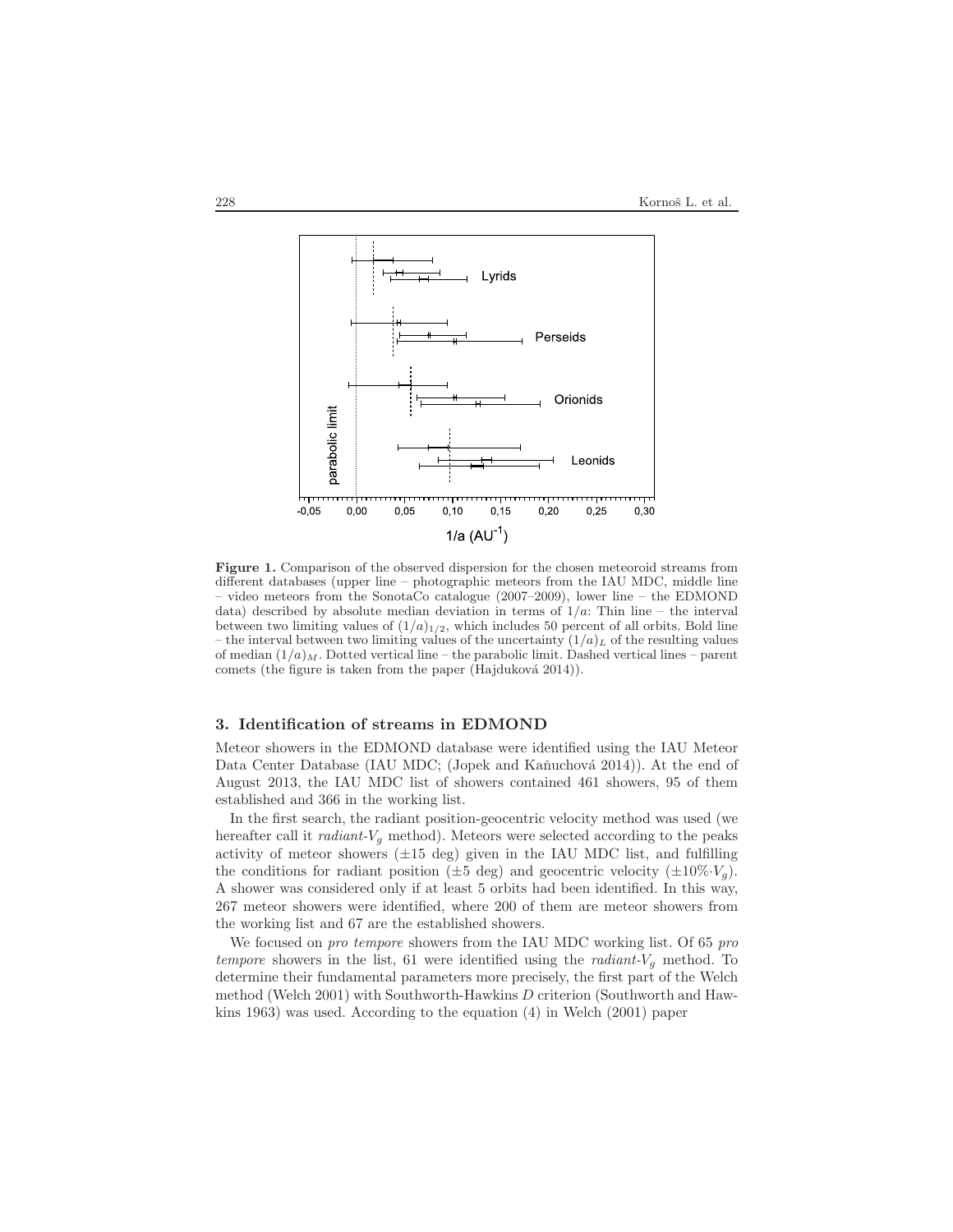

Figure 1. Comparison of the observed dispersion for the chosen meteoroid streams from different databases (upper line – photographic meteors from the IAU MDC, middle line – video meteors from the SonotaCo catalogue (2007–2009), lower line – the EDMOND data) described by absolute median deviation in terms of  $1/a$ : Thin line – the interval between two limiting values of  $(1/a)_{1/2}$ , which includes 50 percent of all orbits. Bold line – the interval between two limiting values of the uncertainty  $(1/a)_L$  of the resulting values of median  $(1/a)_M$ . Dotted vertical line – the parabolic limit. Dashed vertical lines – parent comets (the figure is taken from the paper (Hajduková 2014)).

## 3. Identification of streams in EDMOND

Meteor showers in the EDMOND database were identified using the IAU Meteor Data Center Database (IAU MDC; (Jopek and Kaňuchová 2014)). At the end of August 2013, the IAU MDC list of showers contained 461 showers, 95 of them established and 366 in the working list.

In the first search, the radiant position-geocentric velocity method was used (we hereafter call it *radiant-V<sub>g</sub>* method). Meteors were selected according to the peaks activity of meteor showers  $(\pm 15 \text{ deg})$  given in the IAU MDC list, and fulfilling the conditions for radiant position ( $\pm 5$  deg) and geocentric velocity ( $\pm 10\%$ · $V_g$ ). A shower was considered only if at least 5 orbits had been identified. In this way, 267 meteor showers were identified, where 200 of them are meteor showers from the working list and 67 are the established showers.

We focused on *pro tempore* showers from the IAU MDC working list. Of 65 pro tempore showers in the list, 61 were identified using the *radiant-* $V<sub>q</sub>$  method. To determine their fundamental parameters more precisely, the first part of the Welch method (Welch 2001) with Southworth-Hawkins D criterion (Southworth and Hawkins 1963) was used. According to the equation (4) in Welch (2001) paper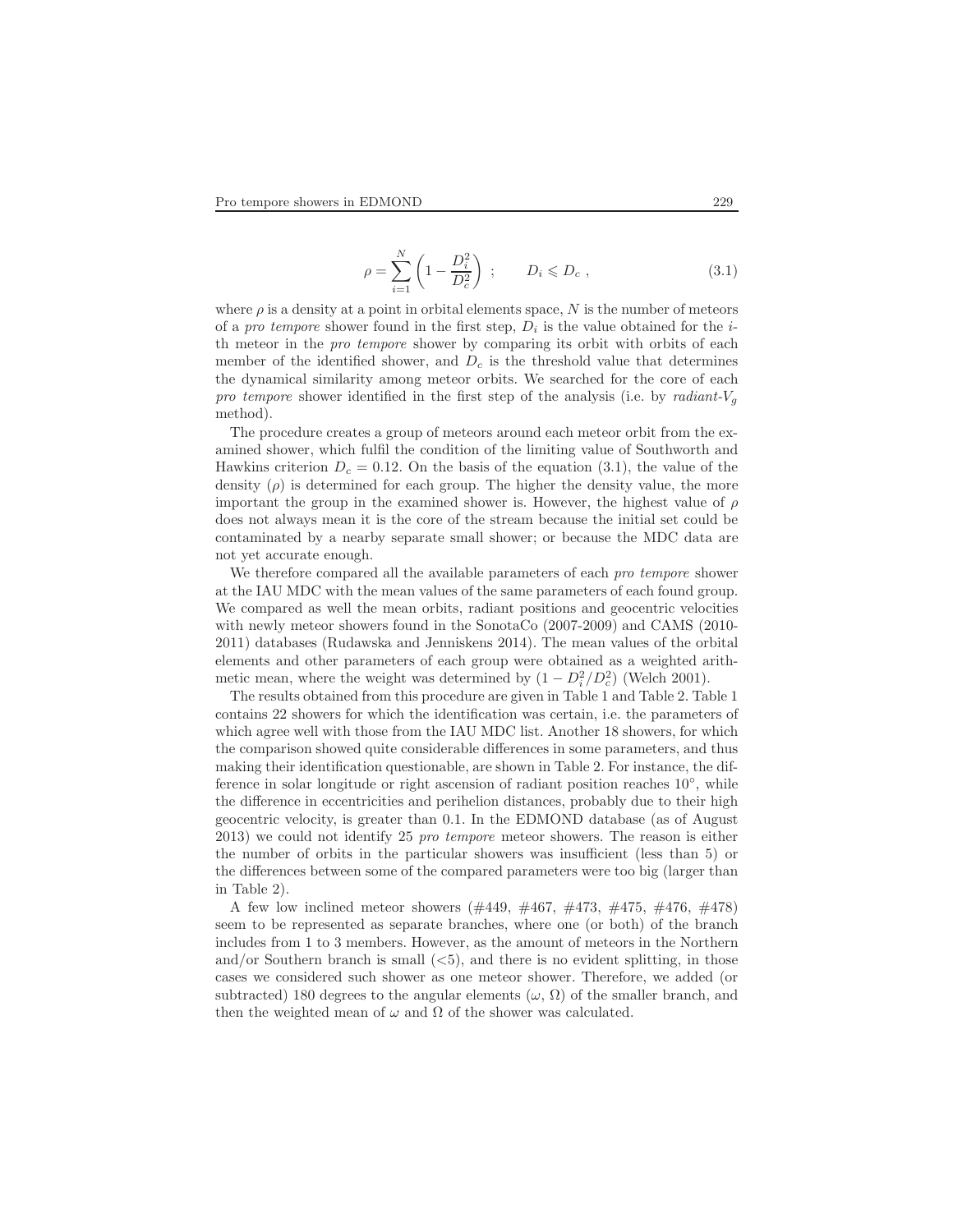$$
\rho = \sum_{i=1}^{N} \left( 1 - \frac{D_i^2}{D_c^2} \right) ; \qquad D_i \leqslant D_c , \qquad (3.1)
$$

where  $\rho$  is a density at a point in orbital elements space, N is the number of meteors of a *pro tempore* shower found in the first step,  $D_i$  is the value obtained for the *i*th meteor in the pro tempore shower by comparing its orbit with orbits of each member of the identified shower, and  $D<sub>c</sub>$  is the threshold value that determines the dynamical similarity among meteor orbits. We searched for the core of each pro tempore shower identified in the first step of the analysis (i.e. by radiant- $V_g$ method).

The procedure creates a group of meteors around each meteor orbit from the examined shower, which fulfil the condition of the limiting value of Southworth and Hawkins criterion  $D_c = 0.12$ . On the basis of the equation (3.1), the value of the density  $(\rho)$  is determined for each group. The higher the density value, the more important the group in the examined shower is. However, the highest value of  $\rho$ does not always mean it is the core of the stream because the initial set could be contaminated by a nearby separate small shower; or because the MDC data are not yet accurate enough.

We therefore compared all the available parameters of each *pro tempore* shower at the IAU MDC with the mean values of the same parameters of each found group. We compared as well the mean orbits, radiant positions and geocentric velocities with newly meteor showers found in the SonotaCo (2007-2009) and CAMS (2010- 2011) databases (Rudawska and Jenniskens 2014). The mean values of the orbital elements and other parameters of each group were obtained as a weighted arithmetic mean, where the weight was determined by  $(1 - D_i^2/D_c^2)$  (Welch 2001).

The results obtained from this procedure are given in Table 1 and Table 2. Table 1 contains 22 showers for which the identification was certain, i.e. the parameters of which agree well with those from the IAU MDC list. Another 18 showers, for which the comparison showed quite considerable differences in some parameters, and thus making their identification questionable, are shown in Table 2. For instance, the difference in solar longitude or right ascension of radiant position reaches 10<sup>°</sup>, while the difference in eccentricities and perihelion distances, probably due to their high geocentric velocity, is greater than 0.1. In the EDMOND database (as of August 2013) we could not identify 25 pro tempore meteor showers. The reason is either the number of orbits in the particular showers was insufficient (less than 5) or the differences between some of the compared parameters were too big (larger than in Table 2).

A few low inclined meteor showers (#449, #467, #473, #475, #476, #478) seem to be represented as separate branches, where one (or both) of the branch includes from 1 to 3 members. However, as the amount of meteors in the Northern and/or Southern branch is small  $(*5*)$ , and there is no evident splitting, in those cases we considered such shower as one meteor shower. Therefore, we added (or subtracted) 180 degrees to the angular elements ( $\omega$ ,  $\Omega$ ) of the smaller branch, and then the weighted mean of  $\omega$  and  $\Omega$  of the shower was calculated.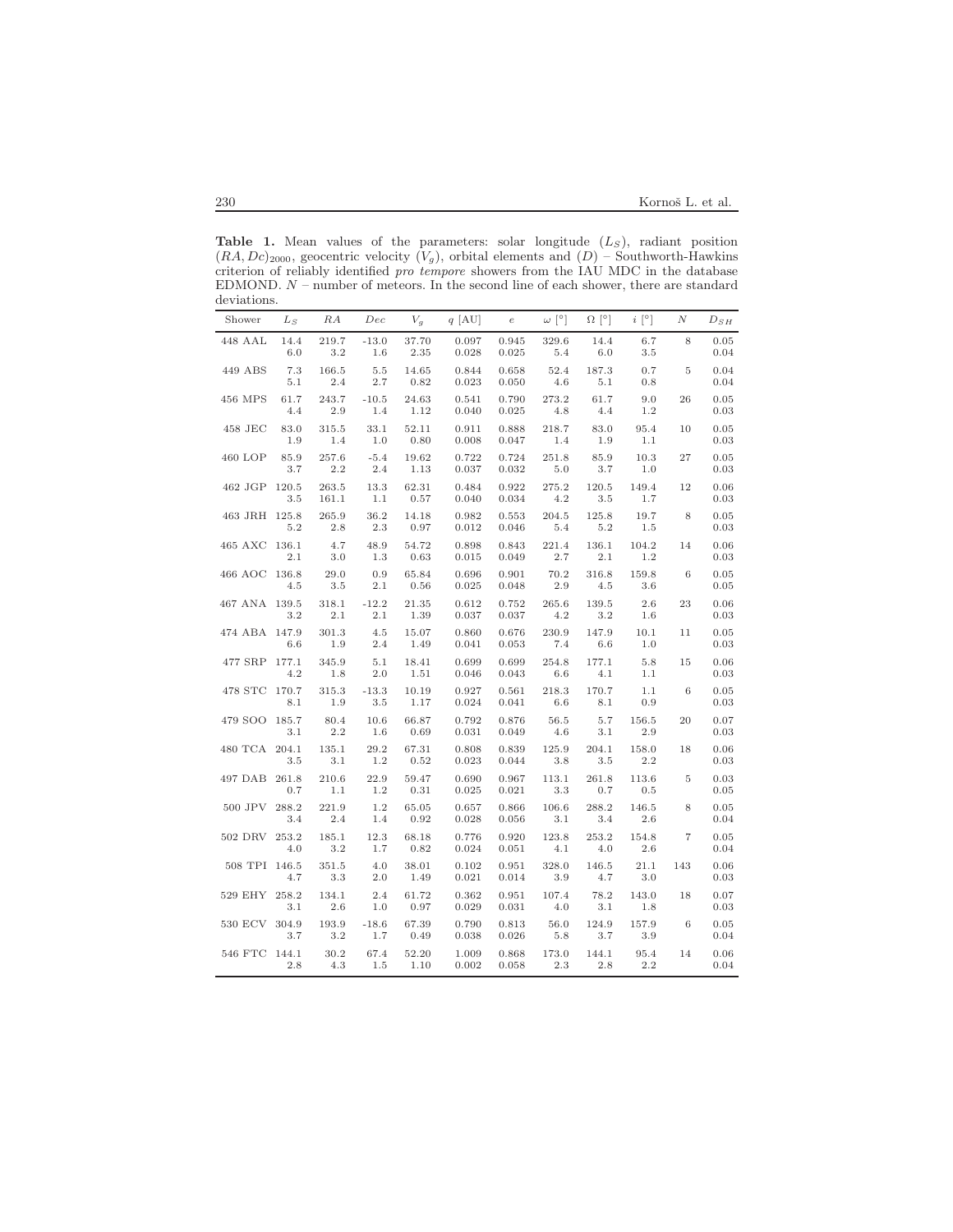**Table 1.** Mean values of the parameters: solar longitude  $(L<sub>S</sub>)$ , radiant position  $(RA, Dc)_{2000}$ , geocentric velocity  $(V_g)$ , orbital elements and  $(D)$  – Southworth-Hawkins criterion of reliably identified pro tempore showers from the IAU MDC in the database EDMOND. N – number of meteors. In the second line of each shower, there are standard deviations. L

| Shower        | $L_S$               | RA                 | Dec                | $V_g$                 | $q$ [AU]                | $\boldsymbol{e}$        | $\omega$ [ $^{\circ}$ ] | $\Omega$ [ $\circ$ ] | $i$ [ $^{\circ}$ ] | $\boldsymbol{N}$ | $D_{SH}$             |
|---------------|---------------------|--------------------|--------------------|-----------------------|-------------------------|-------------------------|-------------------------|----------------------|--------------------|------------------|----------------------|
| 448 AAL       | 14.4<br>6.0         | 219.7<br>3.2       | $-13.0$<br>1.6     | 37.70<br>2.35         | 0.097<br>0.028          | 0.945<br>0.025          | 329.6<br>5.4            | 14.4<br>6.0          | 6.7<br>3.5         | 8                | 0.05<br>0.04         |
| 449 ABS       | 7.3<br>5.1          | 166.5<br>2.4       | 5.5<br>2.7         | 14.65<br>0.82         | 0.844<br>0.023          | 0.658<br>0.050          | 52.4<br>4.6             | 187.3<br>5.1         | 0.7<br>0.8         | 5                | 0.04<br>0.04         |
| 456 MPS       | 61.7<br>4.4         | 243.7<br>2.9       | $-10.5$<br>1.4     | 24.63<br>1.12         | 0.541<br>0.040          | 0.790<br>0.025          | 273.2<br>4.8            | 61.7<br>4.4          | 9.0<br>1.2         | 26               | 0.05<br>0.03         |
| 458 JEC       | 83.0<br>1.9         | 315.5<br>1.4       | 33.1<br>1.0        | 52.11<br>0.80         | 0.911<br>0.008          | 0.888<br>0.047          | 218.7<br>1.4            | 83.0<br>1.9          | 95.4<br>1.1        | 10               | 0.05<br>0.03         |
| 460 LOP       | 85.9<br>3.7         | 257.6<br>2.2       | $-5.4$<br>2.4      | 19.62<br>1.13         | 0.722<br>0.037          | 0.724<br>0.032          | 251.8<br>5.0            | 85.9<br>3.7          | 10.3<br>1.0        | 27               | 0.05<br>0.03         |
| 462 JGP       | 120.5<br>3.5        | 263.5<br>161.1     | 13.3<br>1.1        | 62.31<br>0.57         | 0.484<br>0.040          | 0.922<br>0.034          | 275.2<br>4.2            | 120.5<br>3.5         | 149.4<br>1.7       | 12               | 0.06<br>0.03         |
| 463 JRH 125.8 | 5.2                 | 265.9<br>2.8       | 36.2<br>2.3        | 14.18<br>0.97         | 0.982<br>0.012          | 0.553<br>0.046          | 204.5<br>5.4            | 125.8<br>5.2         | 19.7<br>1.5        | 8                | 0.05<br>0.03         |
| 465 AXC       | 136.1<br>2.1        | 4.7<br>3.0         | 48.9<br>1.3        | 54.72<br>0.63         | 0.898<br>0.015          | 0.843<br>0.049          | 221.4<br>2.7            | 136.1<br>2.1         | 104.2<br>1.2       | 14               | 0.06<br>0.03         |
| 466 AOC       | 136.8<br>4.5        | 29.0<br>3.5        | 0.9<br>2.1         | 65.84<br>0.56         | 0.696<br>0.025          | 0.901<br>0.048          | 70.2<br>2.9             | 316.8<br>4.5         | 159.8<br>3.6       | 6                | 0.05<br>0.05         |
| 467 ANA 139.5 | 3.2                 | 318.1<br>2.1       | $-12.2$<br>2.1     | 21.35<br>1.39         | 0.612<br>0.037          | 0.752<br>0.037          | 265.6<br>4.2            | 139.5<br>3.2         | 2.6<br>1.6         | 23               | 0.06<br>0.03         |
| 474 ABA 147.9 | 6.6                 | 301.3<br>1.9       | 4.5<br>2.4         | 15.07<br>1.49         | 0.860<br>0.041          | 0.676<br>0.053          | 230.9<br>7.4            | 147.9<br>6.6         | 10.1<br>1.0        | 11               | 0.05<br>0.03         |
| 477 SRP       | 177.1<br>4.2        | 345.9<br>$1.8\,$   | 5.1<br>2.0         | 18.41<br>1.51         | 0.699<br>0.046          | 0.699<br>0.043          | 254.8<br>6.6            | 177.1<br>4.1         | 5.8<br>1.1         | 15               | 0.06<br>0.03         |
| 478 STC       | 170.7<br>8.1        | 315.3<br>1.9       | $-13.3$<br>3.5     | 10.19<br>1.17         | 0.927<br>0.024          | 0.561<br>0.041          | 218.3<br>6.6            | 170.7<br>8.1         | 1.1<br>0.9         | 6                | 0.05<br>0.03         |
| 479 SOO       | 185.7<br>3.1        | 80.4<br>2.2        | 10.6<br>1.6        | 66.87<br>0.69         | 0.792<br>0.031          | 0.876<br>0.049          | 56.5<br>4.6             | 5.7<br>3.1           | 156.5<br>2.9       | 20               | 0.07<br>0.03         |
| 480 TCA 204.1 | 3.5                 | 135.1<br>3.1       | 29.2<br>1.2        | 67.31<br>0.52         | 0.808<br>0.023          | 0.839<br>0.044          | 125.9<br>3.8            | 204.1<br>3.5         | 158.0<br>2.2       | 18               | 0.06<br>0.03         |
| 497 DAB       | 261.8<br>0.7        | 210.6<br>1.1       | 22.9<br>1.2        | 59.47<br>0.31         | 0.690<br>0.025          | 0.967<br>0.021          | 113.1<br>3.3            | 261.8<br>0.7         | 113.6<br>0.5       | 5                | 0.03<br>0.05         |
| 500 JPV       | 288.2<br>3.4        | 221.9<br>2.4       | 1.2<br>1.4         | 65.05<br>0.92         | 0.657<br>0.028          | 0.866<br>0.056          | 106.6<br>3.1            | 288.2<br>3.4         | 146.5<br>2.6       | 8                | 0.05<br>0.04         |
| 502 DRV       | 253.2<br>4.0        | 185.1<br>3.2       | 12.3<br>1.7        | 68.18<br>0.82         | 0.776<br>0.024          | 0.920<br>0.051          | 123.8<br>4.1            | 253.2<br>4.0         | 154.8<br>2.6       | $\overline{7}$   | 0.05<br>0.04         |
| 508 TPI 146.5 | 4.7                 | 351.5              | 4.0                | 38.01                 | 0.102<br>0.021          | 0.951                   | 328.0                   | 146.5                | 21.1               | 143              | 0.06                 |
| 529 EHY       | 258.2               | 3.3<br>134.1       | 2.0<br>2.4         | 1.49<br>61.72         | 0.362                   | 0.014<br>0.951          | 3.9<br>107.4            | 4.7<br>78.2          | 3.0<br>143.0       | 18               | 0.03<br>0.07         |
| 530 ECV       | 3.1<br>304.9        | 2.6<br>193.9       | 1.0<br>$-18.6$     | 0.97<br>67.39         | 0.029<br>0.790          | 0.031<br>0.813          | 4.0<br>56.0             | 3.1<br>124.9         | 1.8<br>157.9       | 6                | $\rm 0.03$<br>0.05   |
| 546 FTC       | 3.7<br>144.1<br>2.8 | 3.2<br>30.2<br>4.3 | 1.7<br>67.4<br>1.5 | 0.49<br>52.20<br>1.10 | 0.038<br>1.009<br>0.002 | 0.026<br>0.868<br>0.058 | 5.8<br>173.0<br>2.3     | 3.7<br>144.1<br>2.8  | 3.9<br>95.4<br>2.2 | 14               | 0.04<br>0.06<br>0.04 |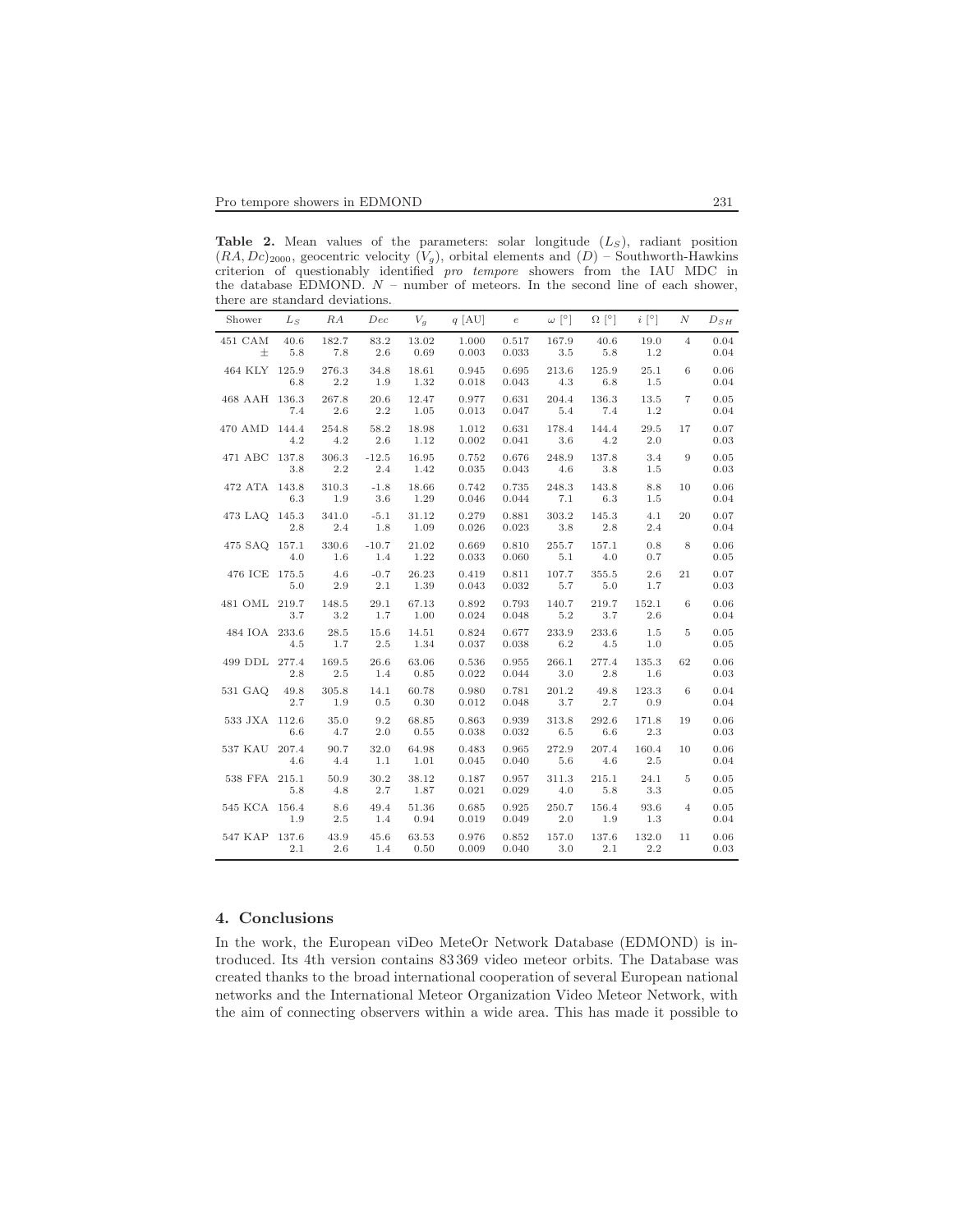**Table 2.** Mean values of the parameters: solar longitude  $(L<sub>S</sub>)$ , radiant position  $(RA, Dc)_{2000}$ , geocentric velocity  $(V_g)$ , orbital elements and  $(D)$  – Southworth-Hawkins criterion of questionably identified pro tempore showers from the IAU MDC in the database EDMOND.  $N$  – number of meteors. In the second line of each shower, there are standard deviations.

| Shower        | $L_S$        | RA               | Dec            | $V_a$         | $q$ [AU]       | $\epsilon$     | $\omega$ [ $^{\circ}$ ] | $\Omega$ [°]     | $i \rceil$   | N              | $D_{SH}$     |
|---------------|--------------|------------------|----------------|---------------|----------------|----------------|-------------------------|------------------|--------------|----------------|--------------|
| 451 CAM<br>士  | 40.6<br>5.8  | 182.7<br>7.8     | 83.2<br>2.6    | 13.02<br>0.69 | 1.000<br>0.003 | 0.517<br>0.033 | 167.9<br>3.5            | 40.6<br>5.8      | 19.0<br>1.2  | $\overline{4}$ | 0.04<br>0.04 |
| 464 KLY 125.9 | 6.8          | 276.3<br>2.2     | 34.8<br>1.9    | 18.61<br>1.32 | 0.945<br>0.018 | 0.695<br>0.043 | 213.6<br>4.3            | 125.9<br>6.8     | 25.1<br>1.5  | 6              | 0.06<br>0.04 |
| 468 AAH 136.3 | 7.4          | 267.8<br>2.6     | 20.6<br>2.2    | 12.47<br>1.05 | 0.977<br>0.013 | 0.631<br>0.047 | 204.4<br>$5.4\,$        | 136.3<br>7.4     | 13.5<br>1.2  | $\overline{7}$ | 0.05<br>0.04 |
| 470 AMD 144.4 | 4.2          | 254.8<br>4.2     | 58.2<br>2.6    | 18.98<br>1.12 | 1.012<br>0.002 | 0.631<br>0.041 | 178.4<br>3.6            | 144.4<br>4.2     | 29.5<br>2.0  | 17             | 0.07<br>0.03 |
| 471 ABC 137.8 | 3.8          | 306.3<br>$2.2\,$ | $-12.5$<br>2.4 | 16.95<br>1.42 | 0.752<br>0.035 | 0.676<br>0.043 | 248.9<br>4.6            | 137.8<br>$3.8\,$ | 3.4<br>1.5   | 9              | 0.05<br>0.03 |
| 472 ATA 143.8 | 6.3          | 310.3<br>1.9     | $-1.8$<br>3.6  | 18.66<br>1.29 | 0.742<br>0.046 | 0.735<br>0.044 | 248.3<br>7.1            | 143.8<br>6.3     | 8.8<br>1.5   | 10             | 0.06<br>0.04 |
| 473 LAQ 145.3 | 2.8          | 341.0<br>2.4     | $-5.1$<br>1.8  | 31.12<br>1.09 | 0.279<br>0.026 | 0.881<br>0.023 | 303.2<br>3.8            | 145.3<br>2.8     | 4.1<br>2.4   | 20             | 0.07<br>0.04 |
| 475 SAQ 157.1 | 4.0          | 330.6<br>1.6     | $-10.7$<br>1.4 | 21.02<br>1.22 | 0.669<br>0.033 | 0.810<br>0.060 | 255.7<br>5.1            | 157.1<br>4.0     | 0.8<br>0.7   | 8              | 0.06<br>0.05 |
| 476 ICE 175.5 | 5.0          | 4.6<br>$2.9\,$   | $-0.7$<br>2.1  | 26.23<br>1.39 | 0.419<br>0.043 | 0.811<br>0.032 | 107.7<br>5.7            | 355.5<br>$5.0\,$ | 2.6<br>1.7   | 21             | 0.07<br>0.03 |
| 481 OML 219.7 | 3.7          | 148.5<br>3.2     | 29.1<br>1.7    | 67.13<br>1.00 | 0.892<br>0.024 | 0.793<br>0.048 | 140.7<br>5.2            | 219.7<br>3.7     | 152.1<br>2.6 | 6              | 0.06<br>0.04 |
| 484 IOA 233.6 | 4.5          | 28.5<br>1.7      | 15.6<br>2.5    | 14.51<br>1.34 | 0.824<br>0.037 | 0.677<br>0.038 | 233.9<br>6.2            | 233.6<br>4.5     | 1.5<br>1.0   | 5              | 0.05<br>0.05 |
| 499 DDL 277.4 | 2.8          | 169.5<br>2.5     | 26.6<br>1.4    | 63.06<br>0.85 | 0.536<br>0.022 | 0.955<br>0.044 | 266.1<br>3.0            | 277.4<br>2.8     | 135.3<br>1.6 | 62             | 0.06<br>0.03 |
| 531 GAO       | 49.8<br>2.7  | 305.8<br>1.9     | 14.1<br>0.5    | 60.78<br>0.30 | 0.980<br>0.012 | 0.781<br>0.048 | 201.2<br>3.7            | 49.8<br>2.7      | 123.3<br>0.9 | 6              | 0.04<br>0.04 |
| 533 JXA 112.6 | 6.6          | 35.0<br>4.7      | 9.2<br>$2.0\,$ | 68.85<br>0.55 | 0.863<br>0.038 | 0.939<br>0.032 | 313.8<br>$6.5\,$        | 292.6<br>6.6     | 171.8<br>2.3 | 19             | 0.06<br>0.03 |
| 537 KAU       | 207.4<br>4.6 | 90.7<br>4.4      | 32.0<br>1.1    | 64.98<br>1.01 | 0.483<br>0.045 | 0.965<br>0.040 | 272.9<br>5.6            | 207.4<br>4.6     | 160.4<br>2.5 | 10             | 0.06<br>0.04 |
| 538 FFA       | 215.1<br>5.8 | 50.9<br>4.8      | 30.2<br>2.7    | 38.12<br>1.87 | 0.187<br>0.021 | 0.957<br>0.029 | 311.3<br>4.0            | 215.1<br>5.8     | 24.1<br>3.3  | 5              | 0.05<br>0.05 |
| 545 KCA 156.4 | 1.9          | 8.6<br>2.5       | 49.4<br>1.4    | 51.36<br>0.94 | 0.685<br>0.019 | 0.925<br>0.049 | 250.7<br>2.0            | 156.4<br>1.9     | 93.6<br>1.3  | $\overline{4}$ | 0.05<br>0.04 |
| 547 KAP 137.6 | 2.1          | 43.9<br>2.6      | 45.6<br>1.4    | 63.53<br>0.50 | 0.976<br>0.009 | 0.852<br>0.040 | 157.0<br>3.0            | 137.6<br>2.1     | 132.0<br>2.2 | 11             | 0.06<br>0.03 |

# 4. Conclusions

In the work, the European viDeo MeteOr Network Database (EDMOND) is introduced. Its 4th version contains 83 369 video meteor orbits. The Database was created thanks to the broad international cooperation of several European national networks and the International Meteor Organization Video Meteor Network, with the aim of connecting observers within a wide area. This has made it possible to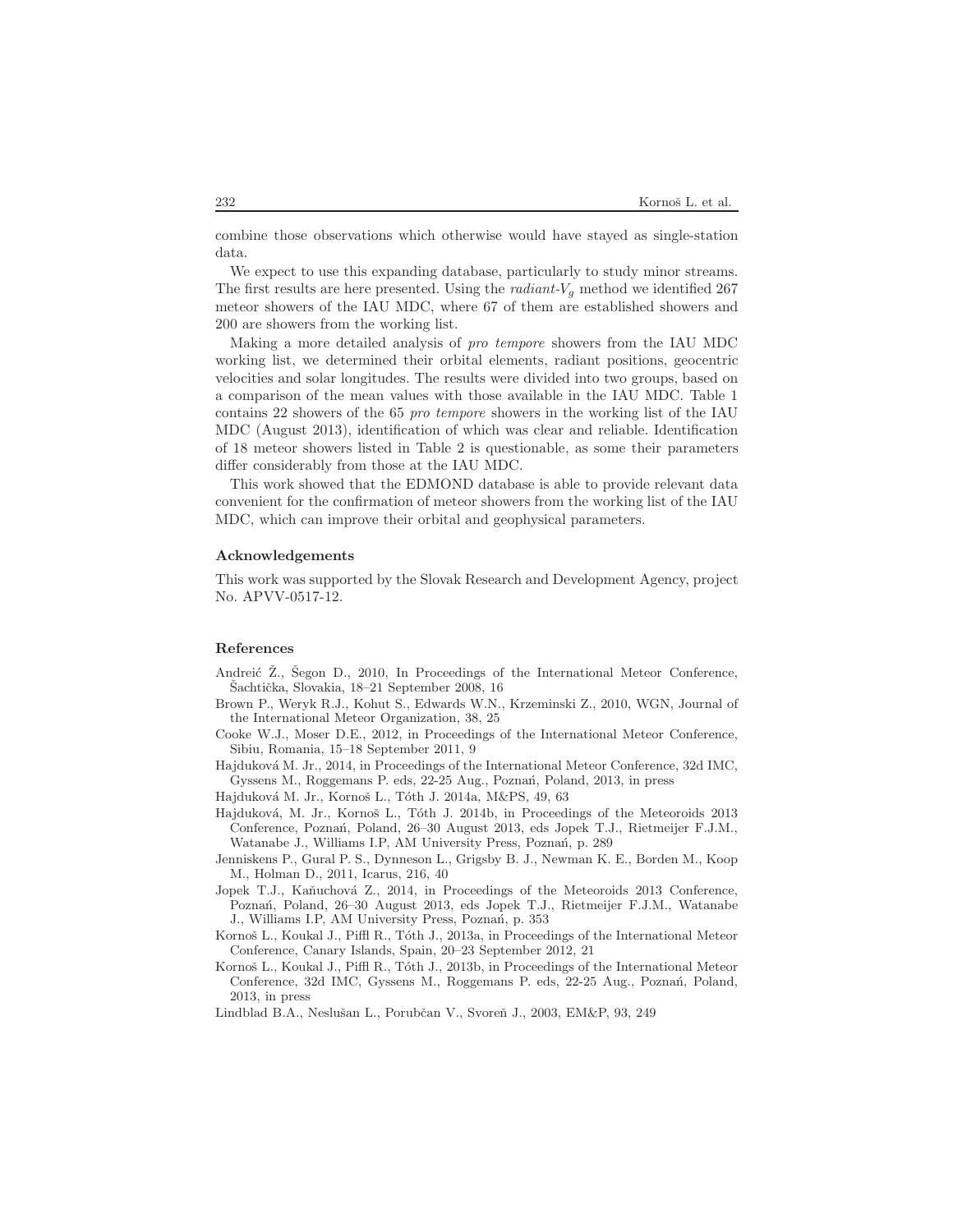combine those observations which otherwise would have stayed as single-station data.

We expect to use this expanding database, particularly to study minor streams. The first results are here presented. Using the *radiant-V<sub>g</sub>* method we identified 267 meteor showers of the IAU MDC, where 67 of them are established showers and 200 are showers from the working list.

Making a more detailed analysis of pro tempore showers from the IAU MDC working list, we determined their orbital elements, radiant positions, geocentric velocities and solar longitudes. The results were divided into two groups, based on a comparison of the mean values with those available in the IAU MDC. Table 1 contains 22 showers of the 65 pro tempore showers in the working list of the IAU MDC (August 2013), identification of which was clear and reliable. Identification of 18 meteor showers listed in Table 2 is questionable, as some their parameters differ considerably from those at the IAU MDC.

This work showed that the EDMOND database is able to provide relevant data convenient for the confirmation of meteor showers from the working list of the IAU MDC, which can improve their orbital and geophysical parameters.

#### Acknowledgements

This work was supported by the Slovak Research and Development Agency, project No. APVV-0517-12.

#### References

- Andreić Z., Segon D., 2010, In Proceedings of the International Meteor Conference. Sachtička, Slovakia, 18–21 September 2008, 16
- Brown P., Weryk R.J., Kohut S., Edwards W.N., Krzeminski Z., 2010, WGN, Journal of the International Meteor Organization, 38, 25
- Cooke W.J., Moser D.E., 2012, in Proceedings of the International Meteor Conference, Sibiu, Romania, 15–18 September 2011, 9
- Hajduková M. Jr., 2014, in Proceedings of the International Meteor Conference, 32d IMC, Gyssens M., Roggemans P. eds, 22-25 Aug., Poznań, Poland, 2013, in press
- Hajduková M. Jr., Kornoš L., Tóth J. 2014a, M&PS, 49, 63
- Hajduková, M. Jr., Kornoš L., Tóth J. 2014b, in Proceedings of the Meteoroids 2013 Conference, Pozna´n, Poland, 26–30 August 2013, eds Jopek T.J., Rietmeijer F.J.M., Watanabe J., Williams I.P, AM University Press, Poznań, p. 289
- Jenniskens P., Gural P. S., Dynneson L., Grigsby B. J., Newman K. E., Borden M., Koop M., Holman D., 2011, Icarus, 216, 40
- Jopek T.J., Kaňuchová Z., 2014, in Proceedings of the Meteoroids 2013 Conference, Pozna´n, Poland, 26–30 August 2013, eds Jopek T.J., Rietmeijer F.J.M., Watanabe J., Williams I.P, AM University Press, Poznań, p. 353
- Kornoš L., Koukal J., Piffl R., Tóth J., 2013a, in Proceedings of the International Meteor Conference, Canary Islands, Spain, 20–23 September 2012, 21
- Kornoš L., Koukal J., Piffl R., Tóth J., 2013b, in Proceedings of the International Meteor Conference, 32d IMC, Gyssens M., Roggemans P. eds, 22-25 Aug., Poznań, Poland, 2013, in press
- Lindblad B.A., Neslušan L., Porubčan V., Svoreň J., 2003, EM&P, 93, 249